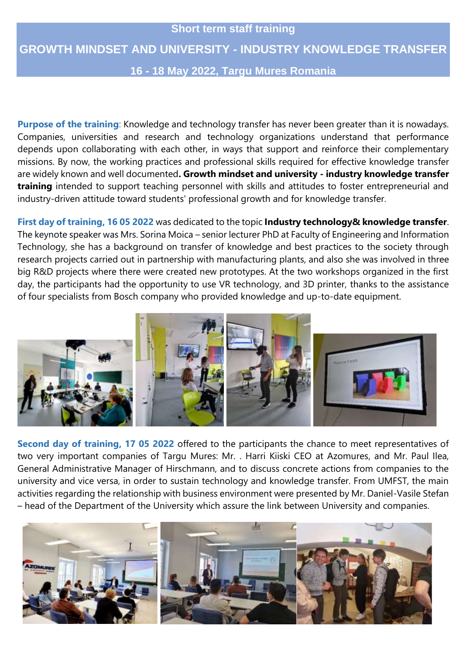## **Short term staff training GROWTH MINDSET AND UNIVERSITY - INDUSTRY KNOWLEDGE TRANSFER 16 - 18 May 2022, Targu Mures Romania**

**Purpose of the training**: Knowledge and technology transfer has never been greater than it is nowadays. Companies, universities and research and technology organizations understand that performance depends upon collaborating with each other, in ways that support and reinforce their complementary missions. By now, the working practices and professional skills required for effective knowledge transfer are widely known and well documented**. Growth mindset and university - industry knowledge transfer training** intended to support teaching personnel with skills and attitudes to foster entrepreneurial and industry-driven attitude toward students' professional growth and for knowledge transfer.

**First day of training, 16 05 2022** was dedicated to the topic **Industry technology& knowledge transfer**. The keynote speaker was Mrs. Sorina Moica – senior lecturer PhD at Faculty of Engineering and Information Technology, she has a background on transfer of knowledge and best practices to the society through research projects carried out in partnership with manufacturing plants, and also she was involved in three big R&D projects where there were created new prototypes. At the two workshops organized in the first day, the participants had the opportunity to use VR technology, and 3D printer, thanks to the assistance of four specialists from Bosch company who provided knowledge and up-to-date equipment.



**Second day of training, 17 05 2022** offered to the participants the chance to meet representatives of two very important companies of Targu Mures: Mr. . Harri Kiiski CEO at Azomures, and Mr. Paul Ilea, General Administrative Manager of Hirschmann, and to discuss concrete actions from companies to the university and vice versa, in order to sustain technology and knowledge transfer. From UMFST, the main activities regarding the relationship with business environment were presented by Mr. Daniel-Vasile Stefan – head of the Department of the University which assure the link between University and companies.